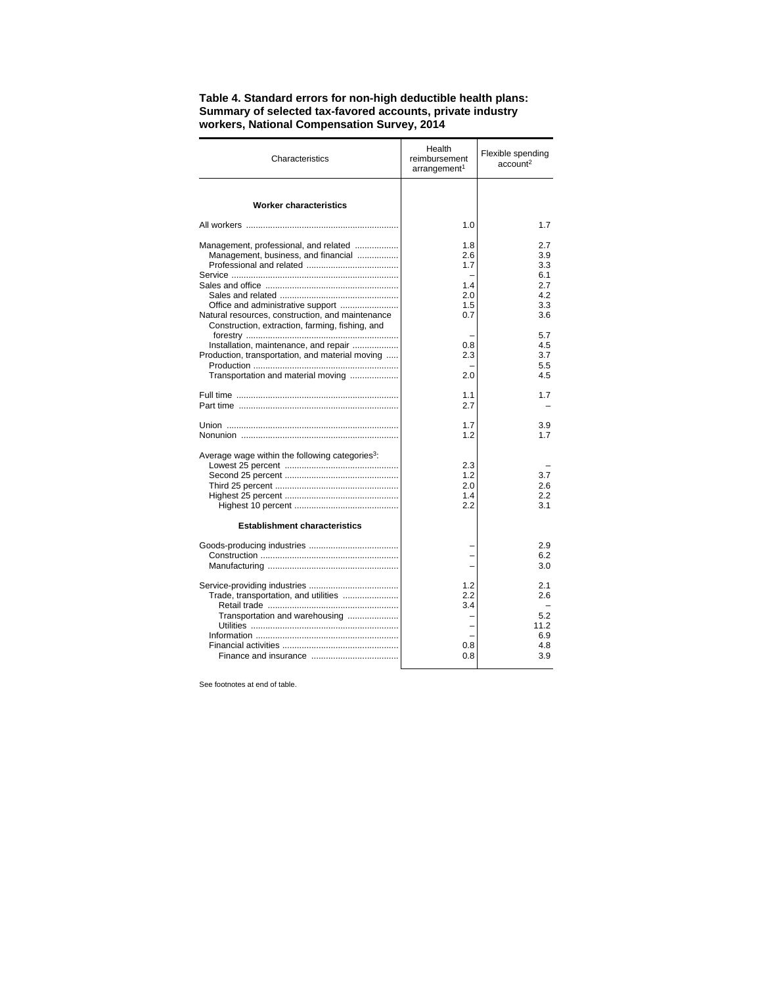| Characteristics                                                                                                                             | Health<br>reimbursement<br>arrangement <sup>1</sup> | Flexible spending<br>account <sup>2</sup>      |
|---------------------------------------------------------------------------------------------------------------------------------------------|-----------------------------------------------------|------------------------------------------------|
| <b>Worker characteristics</b>                                                                                                               |                                                     |                                                |
|                                                                                                                                             | 1.0                                                 | 1.7                                            |
| Management, professional, and related<br>Management, business, and financial                                                                | 1.8<br>2.6<br>1.7                                   | 2.7<br>3.9<br>3.3<br>6.1                       |
| Natural resources, construction, and maintenance                                                                                            | 1.4<br>2.0<br>1.5<br>0.7                            | 2.7<br>4.2<br>3.3<br>3.6                       |
| Construction, extraction, farming, fishing, and<br>Installation, maintenance, and repair<br>Production, transportation, and material moving | 0.8<br>2.3                                          | 5.7<br>4.5<br>3.7<br>5.5                       |
| Transportation and material moving                                                                                                          | 2.0                                                 | 4.5                                            |
|                                                                                                                                             | 1.1<br>27                                           | 1.7                                            |
|                                                                                                                                             | 1.7<br>1.2                                          | 3.9<br>1.7                                     |
| Average wage within the following categories <sup>3</sup> :                                                                                 | 2.3<br>1.2<br>2.0<br>1.4<br>2.2                     | 3.7<br>2.6<br>2.2<br>3.1                       |
| <b>Establishment characteristics</b>                                                                                                        |                                                     |                                                |
|                                                                                                                                             |                                                     | 2.9<br>6.2<br>3.0                              |
| Trade, transportation, and utilities<br>Transportation and warehousing                                                                      | 1.2<br>2.2<br>3.4<br>0.8<br>0.8                     | 2.1<br>2.6<br>5.2<br>11.2<br>6.9<br>4.8<br>3.9 |

## **Table 4. Standard errors for non-high deductible health plans: Summary of selected tax-favored accounts, private industry workers, National Compensation Survey, 2014**

See footnotes at end of table.